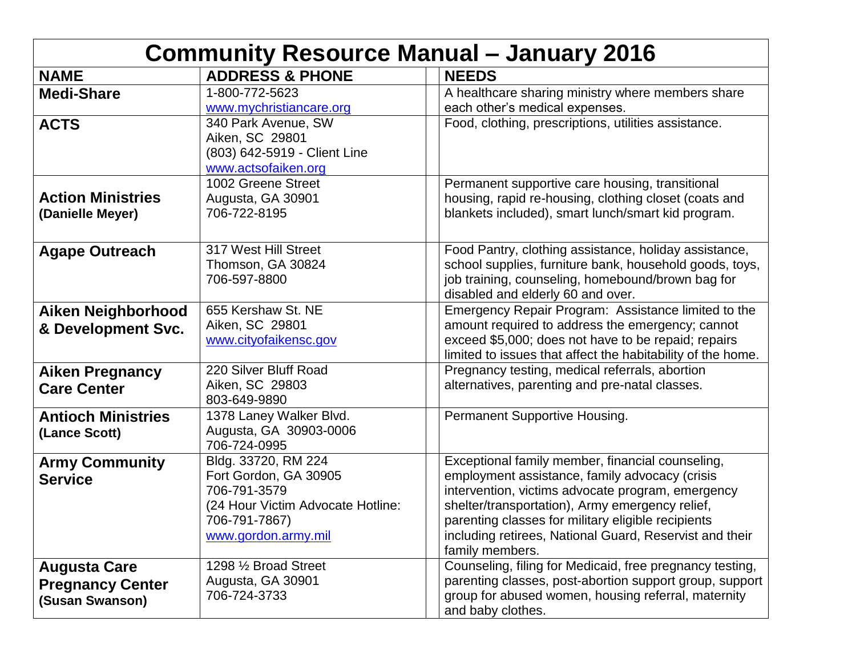| <b>Community Resource Manual - January 2016</b>                   |                                                                                                                                           |                                                                                                                                                                                                                                                                                                                                                |
|-------------------------------------------------------------------|-------------------------------------------------------------------------------------------------------------------------------------------|------------------------------------------------------------------------------------------------------------------------------------------------------------------------------------------------------------------------------------------------------------------------------------------------------------------------------------------------|
| <b>NAME</b>                                                       | <b>ADDRESS &amp; PHONE</b>                                                                                                                | <b>NEEDS</b>                                                                                                                                                                                                                                                                                                                                   |
| <b>Medi-Share</b>                                                 | 1-800-772-5623<br>www.mychristiancare.org                                                                                                 | A healthcare sharing ministry where members share<br>each other's medical expenses.                                                                                                                                                                                                                                                            |
| <b>ACTS</b>                                                       | 340 Park Avenue, SW<br>Aiken, SC 29801<br>(803) 642-5919 - Client Line<br>www.actsofaiken.org                                             | Food, clothing, prescriptions, utilities assistance.                                                                                                                                                                                                                                                                                           |
| <b>Action Ministries</b><br>(Danielle Meyer)                      | 1002 Greene Street<br>Augusta, GA 30901<br>706-722-8195                                                                                   | Permanent supportive care housing, transitional<br>housing, rapid re-housing, clothing closet (coats and<br>blankets included), smart lunch/smart kid program.                                                                                                                                                                                 |
| <b>Agape Outreach</b>                                             | 317 West Hill Street<br>Thomson, GA 30824<br>706-597-8800                                                                                 | Food Pantry, clothing assistance, holiday assistance,<br>school supplies, furniture bank, household goods, toys,<br>job training, counseling, homebound/brown bag for<br>disabled and elderly 60 and over.                                                                                                                                     |
| <b>Aiken Neighborhood</b><br>& Development Svc.                   | 655 Kershaw St. NE<br>Aiken, SC 29801<br>www.cityofaikensc.gov                                                                            | Emergency Repair Program: Assistance limited to the<br>amount required to address the emergency; cannot<br>exceed \$5,000; does not have to be repaid; repairs<br>limited to issues that affect the habitability of the home.                                                                                                                  |
| <b>Aiken Pregnancy</b><br><b>Care Center</b>                      | 220 Silver Bluff Road<br>Aiken, SC 29803<br>803-649-9890                                                                                  | Pregnancy testing, medical referrals, abortion<br>alternatives, parenting and pre-natal classes.                                                                                                                                                                                                                                               |
| <b>Antioch Ministries</b><br>(Lance Scott)                        | 1378 Laney Walker Blvd.<br>Augusta, GA 30903-0006<br>706-724-0995                                                                         | Permanent Supportive Housing.                                                                                                                                                                                                                                                                                                                  |
| <b>Army Community</b><br><b>Service</b>                           | Bldg. 33720, RM 224<br>Fort Gordon, GA 30905<br>706-791-3579<br>(24 Hour Victim Advocate Hotline:<br>706-791-7867)<br>www.gordon.army.mil | Exceptional family member, financial counseling,<br>employment assistance, family advocacy (crisis<br>intervention, victims advocate program, emergency<br>shelter/transportation), Army emergency relief,<br>parenting classes for military eligible recipients<br>including retirees, National Guard, Reservist and their<br>family members. |
| <b>Augusta Care</b><br><b>Pregnancy Center</b><br>(Susan Swanson) | 1298 1/2 Broad Street<br>Augusta, GA 30901<br>706-724-3733                                                                                | Counseling, filing for Medicaid, free pregnancy testing,<br>parenting classes, post-abortion support group, support<br>group for abused women, housing referral, maternity<br>and baby clothes.                                                                                                                                                |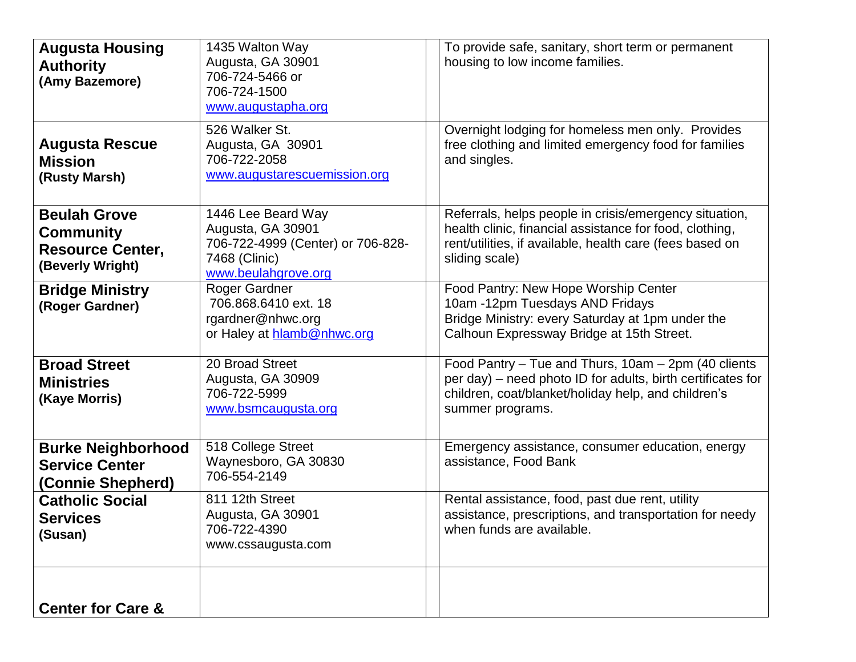| <b>Augusta Housing</b><br><b>Authority</b><br>(Amy Bazemore)                           | 1435 Walton Way<br>Augusta, GA 30901<br>706-724-5466 or<br>706-724-1500<br>www.augustapha.org<br>526 Walker St.      | To provide safe, sanitary, short term or permanent<br>housing to low income families.<br>Overnight lodging for homeless men only. Provides                                                      |
|----------------------------------------------------------------------------------------|----------------------------------------------------------------------------------------------------------------------|-------------------------------------------------------------------------------------------------------------------------------------------------------------------------------------------------|
| <b>Augusta Rescue</b><br><b>Mission</b><br>(Rusty Marsh)                               | Augusta, GA 30901<br>706-722-2058<br>www.augustarescuemission.org                                                    | free clothing and limited emergency food for families<br>and singles.                                                                                                                           |
| <b>Beulah Grove</b><br><b>Community</b><br><b>Resource Center,</b><br>(Beverly Wright) | 1446 Lee Beard Way<br>Augusta, GA 30901<br>706-722-4999 (Center) or 706-828-<br>7468 (Clinic)<br>www.beulahgrove.org | Referrals, helps people in crisis/emergency situation,<br>health clinic, financial assistance for food, clothing,<br>rent/utilities, if available, health care (fees based on<br>sliding scale) |
| <b>Bridge Ministry</b><br>(Roger Gardner)                                              | Roger Gardner<br>706.868.6410 ext. 18<br>rgardner@nhwc.org<br>or Haley at hlamb@nhwc.org                             | Food Pantry: New Hope Worship Center<br>10am -12pm Tuesdays AND Fridays<br>Bridge Ministry: every Saturday at 1pm under the<br>Calhoun Expressway Bridge at 15th Street.                        |
| <b>Broad Street</b><br><b>Ministries</b><br>(Kaye Morris)                              | 20 Broad Street<br>Augusta, GA 30909<br>706-722-5999<br>www.bsmcaugusta.org                                          | Food Pantry - Tue and Thurs, 10am - 2pm (40 clients<br>per day) – need photo ID for adults, birth certificates for<br>children, coat/blanket/holiday help, and children's<br>summer programs.   |
| <b>Burke Neighborhood</b><br><b>Service Center</b><br>(Connie Shepherd)                | 518 College Street<br>Waynesboro, GA 30830<br>706-554-2149                                                           | Emergency assistance, consumer education, energy<br>assistance, Food Bank                                                                                                                       |
| <b>Catholic Social</b><br><b>Services</b><br>(Susan)                                   | 811 12th Street<br>Augusta, GA 30901<br>706-722-4390<br>www.cssaugusta.com                                           | Rental assistance, food, past due rent, utility<br>assistance, prescriptions, and transportation for needy<br>when funds are available.                                                         |
| <b>Center for Care &amp;</b>                                                           |                                                                                                                      |                                                                                                                                                                                                 |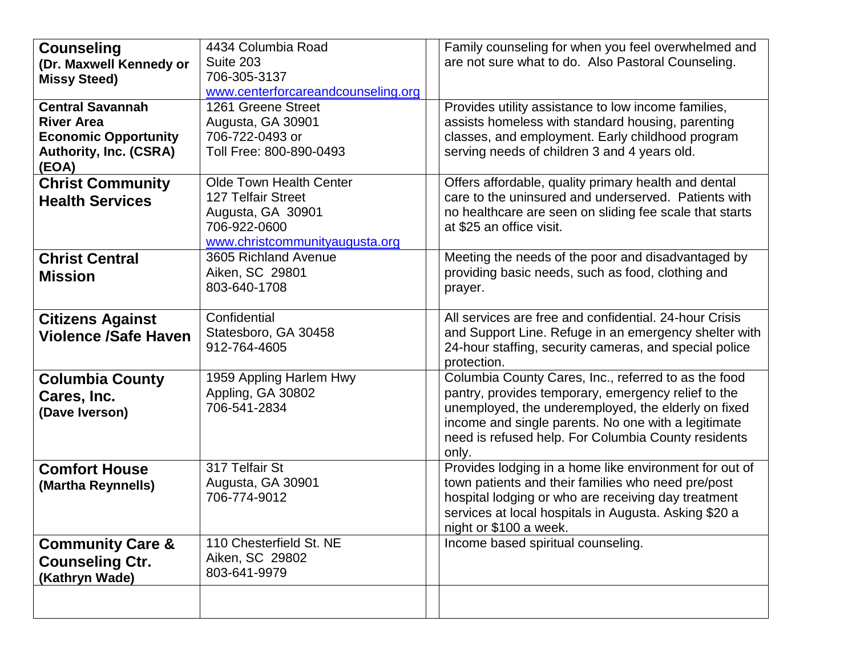| <b>Counseling</b>             | 4434 Columbia Road                 | Family counseling for when you feel overwhelmed and     |
|-------------------------------|------------------------------------|---------------------------------------------------------|
| (Dr. Maxwell Kennedy or       | Suite 203                          | are not sure what to do. Also Pastoral Counseling.      |
| <b>Missy Steed)</b>           | 706-305-3137                       |                                                         |
|                               | www.centerforcareandcounseling.org |                                                         |
| <b>Central Savannah</b>       | 1261 Greene Street                 | Provides utility assistance to low income families,     |
| <b>River Area</b>             | Augusta, GA 30901                  | assists homeless with standard housing, parenting       |
| <b>Economic Opportunity</b>   | 706-722-0493 or                    | classes, and employment. Early childhood program        |
| <b>Authority, Inc. (CSRA)</b> | Toll Free: 800-890-0493            | serving needs of children 3 and 4 years old.            |
| (EOA)                         |                                    |                                                         |
| <b>Christ Community</b>       | <b>Olde Town Health Center</b>     | Offers affordable, quality primary health and dental    |
| <b>Health Services</b>        | <b>127 Telfair Street</b>          | care to the uninsured and underserved. Patients with    |
|                               | Augusta, GA 30901                  | no healthcare are seen on sliding fee scale that starts |
|                               | 706-922-0600                       | at \$25 an office visit.                                |
|                               | www.christcommunityaugusta.org     |                                                         |
| <b>Christ Central</b>         | 3605 Richland Avenue               | Meeting the needs of the poor and disadvantaged by      |
| <b>Mission</b>                | Aiken, SC 29801                    | providing basic needs, such as food, clothing and       |
|                               | 803-640-1708                       | prayer.                                                 |
|                               |                                    |                                                         |
| <b>Citizens Against</b>       | Confidential                       | All services are free and confidential. 24-hour Crisis  |
| <b>Violence /Safe Haven</b>   | Statesboro, GA 30458               | and Support Line. Refuge in an emergency shelter with   |
|                               | 912-764-4605                       | 24-hour staffing, security cameras, and special police  |
|                               |                                    | protection.                                             |
| <b>Columbia County</b>        | 1959 Appling Harlem Hwy            | Columbia County Cares, Inc., referred to as the food    |
| Cares, Inc.                   | Appling, GA 30802                  | pantry, provides temporary, emergency relief to the     |
| (Dave Iverson)                | 706-541-2834                       | unemployed, the underemployed, the elderly on fixed     |
|                               |                                    | income and single parents. No one with a legitimate     |
|                               |                                    | need is refused help. For Columbia County residents     |
|                               |                                    | only.                                                   |
| <b>Comfort House</b>          | 317 Telfair St                     | Provides lodging in a home like environment for out of  |
| (Martha Reynnells)            | Augusta, GA 30901                  | town patients and their families who need pre/post      |
|                               | 706-774-9012                       | hospital lodging or who are receiving day treatment     |
|                               |                                    | services at local hospitals in Augusta. Asking \$20 a   |
|                               |                                    | night or \$100 a week.                                  |
| <b>Community Care &amp;</b>   | 110 Chesterfield St. NE            | Income based spiritual counseling.                      |
| <b>Counseling Ctr.</b>        | Aiken, SC 29802                    |                                                         |
| (Kathryn Wade)                | 803-641-9979                       |                                                         |
|                               |                                    |                                                         |
|                               |                                    |                                                         |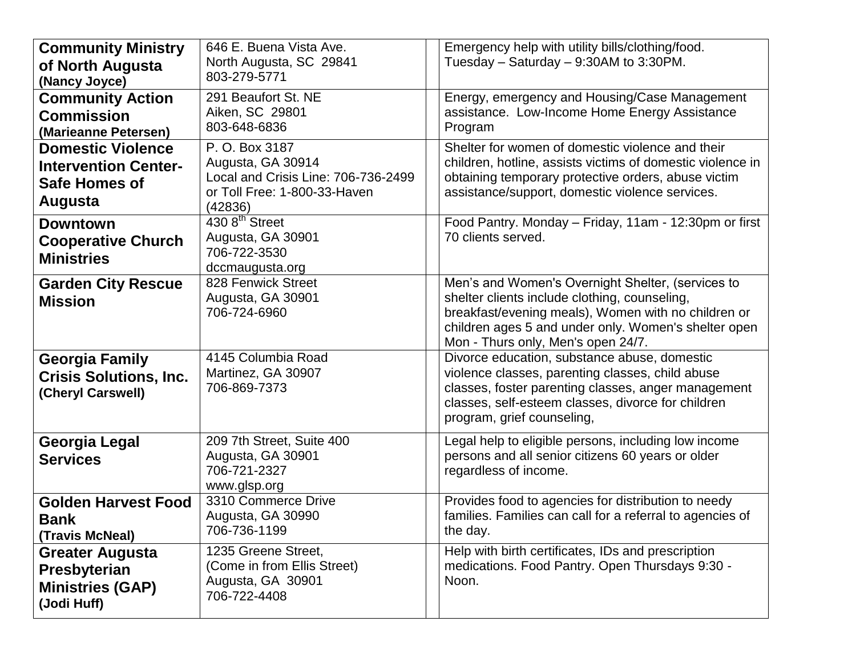| <b>Community Ministry</b><br>of North Augusta<br>(Nancy Joyce)                             | 646 E. Buena Vista Ave.<br>North Augusta, SC 29841<br>803-279-5771                                                    | Emergency help with utility bills/clothing/food.<br>Tuesday - Saturday - 9:30AM to 3:30PM.                                                                                                                                                              |
|--------------------------------------------------------------------------------------------|-----------------------------------------------------------------------------------------------------------------------|---------------------------------------------------------------------------------------------------------------------------------------------------------------------------------------------------------------------------------------------------------|
| <b>Community Action</b><br><b>Commission</b><br>(Marieanne Petersen)                       | 291 Beaufort St. NE<br>Aiken, SC 29801<br>803-648-6836                                                                | Energy, emergency and Housing/Case Management<br>assistance. Low-Income Home Energy Assistance<br>Program                                                                                                                                               |
| <b>Domestic Violence</b><br><b>Intervention Center-</b><br>Safe Homes of<br><b>Augusta</b> | P. O. Box 3187<br>Augusta, GA 30914<br>Local and Crisis Line: 706-736-2499<br>or Toll Free: 1-800-33-Haven<br>(42836) | Shelter for women of domestic violence and their<br>children, hotline, assists victims of domestic violence in<br>obtaining temporary protective orders, abuse victim<br>assistance/support, domestic violence services.                                |
| <b>Downtown</b><br><b>Cooperative Church</b><br><b>Ministries</b>                          | 430 8 <sup>th</sup> Street<br>Augusta, GA 30901<br>706-722-3530<br>dccmaugusta.org                                    | Food Pantry. Monday - Friday, 11am - 12:30pm or first<br>70 clients served.                                                                                                                                                                             |
| <b>Garden City Rescue</b><br><b>Mission</b>                                                | 828 Fenwick Street<br>Augusta, GA 30901<br>706-724-6960                                                               | Men's and Women's Overnight Shelter, (services to<br>shelter clients include clothing, counseling,<br>breakfast/evening meals), Women with no children or<br>children ages 5 and under only. Women's shelter open<br>Mon - Thurs only, Men's open 24/7. |
| <b>Georgia Family</b><br><b>Crisis Solutions, Inc.</b><br>(Cheryl Carswell)                | 4145 Columbia Road<br>Martinez, GA 30907<br>706-869-7373                                                              | Divorce education, substance abuse, domestic<br>violence classes, parenting classes, child abuse<br>classes, foster parenting classes, anger management<br>classes, self-esteem classes, divorce for children<br>program, grief counseling,             |
| Georgia Legal<br><b>Services</b>                                                           | 209 7th Street, Suite 400<br>Augusta, GA 30901<br>706-721-2327<br>www.glsp.org                                        | Legal help to eligible persons, including low income<br>persons and all senior citizens 60 years or older<br>regardless of income.                                                                                                                      |
| <b>Golden Harvest Food</b><br><b>Bank</b><br>(Travis McNeal)                               | 3310 Commerce Drive<br>Augusta, GA 30990<br>706-736-1199                                                              | Provides food to agencies for distribution to needy<br>families. Families can call for a referral to agencies of<br>the day.                                                                                                                            |
| <b>Greater Augusta</b><br>Presbyterian<br><b>Ministries (GAP)</b><br>(Jodi Huff)           | 1235 Greene Street,<br>(Come in from Ellis Street)<br>Augusta, GA 30901<br>706-722-4408                               | Help with birth certificates, IDs and prescription<br>medications. Food Pantry. Open Thursdays 9:30 -<br>Noon.                                                                                                                                          |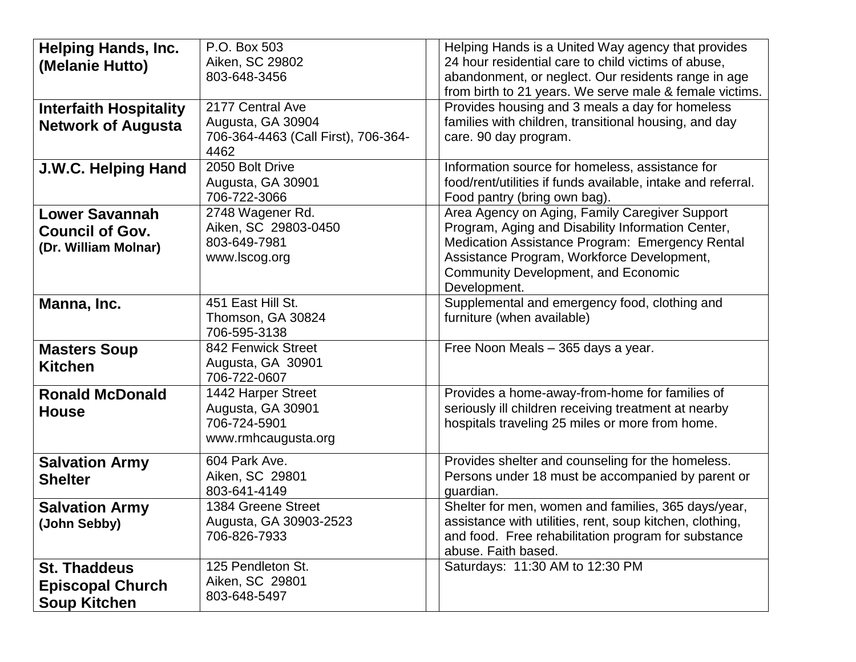| <b>Helping Hands, Inc.</b><br>(Melanie Hutto)                           | P.O. Box 503<br>Aiken, SC 29802<br>803-648-3456                                      | Helping Hands is a United Way agency that provides<br>24 hour residential care to child victims of abuse,<br>abandonment, or neglect. Our residents range in age<br>from birth to 21 years. We serve male & female victims.                                        |
|-------------------------------------------------------------------------|--------------------------------------------------------------------------------------|--------------------------------------------------------------------------------------------------------------------------------------------------------------------------------------------------------------------------------------------------------------------|
| <b>Interfaith Hospitality</b><br><b>Network of Augusta</b>              | 2177 Central Ave<br>Augusta, GA 30904<br>706-364-4463 (Call First), 706-364-<br>4462 | Provides housing and 3 meals a day for homeless<br>families with children, transitional housing, and day<br>care. 90 day program.                                                                                                                                  |
| <b>J.W.C. Helping Hand</b>                                              | 2050 Bolt Drive<br>Augusta, GA 30901<br>706-722-3066                                 | Information source for homeless, assistance for<br>food/rent/utilities if funds available, intake and referral.<br>Food pantry (bring own bag).                                                                                                                    |
| <b>Lower Savannah</b><br><b>Council of Gov.</b><br>(Dr. William Molnar) | 2748 Wagener Rd.<br>Aiken, SC 29803-0450<br>803-649-7981<br>www.lscog.org            | Area Agency on Aging, Family Caregiver Support<br>Program, Aging and Disability Information Center,<br>Medication Assistance Program: Emergency Rental<br>Assistance Program, Workforce Development,<br><b>Community Development, and Economic</b><br>Development. |
| Manna, Inc.                                                             | 451 East Hill St.<br>Thomson, GA 30824<br>706-595-3138                               | Supplemental and emergency food, clothing and<br>furniture (when available)                                                                                                                                                                                        |
| <b>Masters Soup</b><br><b>Kitchen</b>                                   | 842 Fenwick Street<br>Augusta, GA 30901<br>706-722-0607                              | Free Noon Meals - 365 days a year.                                                                                                                                                                                                                                 |
| <b>Ronald McDonald</b><br><b>House</b>                                  | 1442 Harper Street<br>Augusta, GA 30901<br>706-724-5901<br>www.rmhcaugusta.org       | Provides a home-away-from-home for families of<br>seriously ill children receiving treatment at nearby<br>hospitals traveling 25 miles or more from home.                                                                                                          |
| <b>Salvation Army</b><br><b>Shelter</b>                                 | 604 Park Ave.<br>Aiken, SC 29801<br>803-641-4149                                     | Provides shelter and counseling for the homeless.<br>Persons under 18 must be accompanied by parent or<br>guardian.                                                                                                                                                |
| <b>Salvation Army</b><br>(John Sebby)                                   | 1384 Greene Street<br>Augusta, GA 30903-2523<br>706-826-7933                         | Shelter for men, women and families, 365 days/year,<br>assistance with utilities, rent, soup kitchen, clothing,<br>and food. Free rehabilitation program for substance<br>abuse. Faith based.                                                                      |
| <b>St. Thaddeus</b><br><b>Episcopal Church</b><br><b>Soup Kitchen</b>   | 125 Pendleton St.<br>Aiken, SC 29801<br>803-648-5497                                 | Saturdays: 11:30 AM to 12:30 PM                                                                                                                                                                                                                                    |